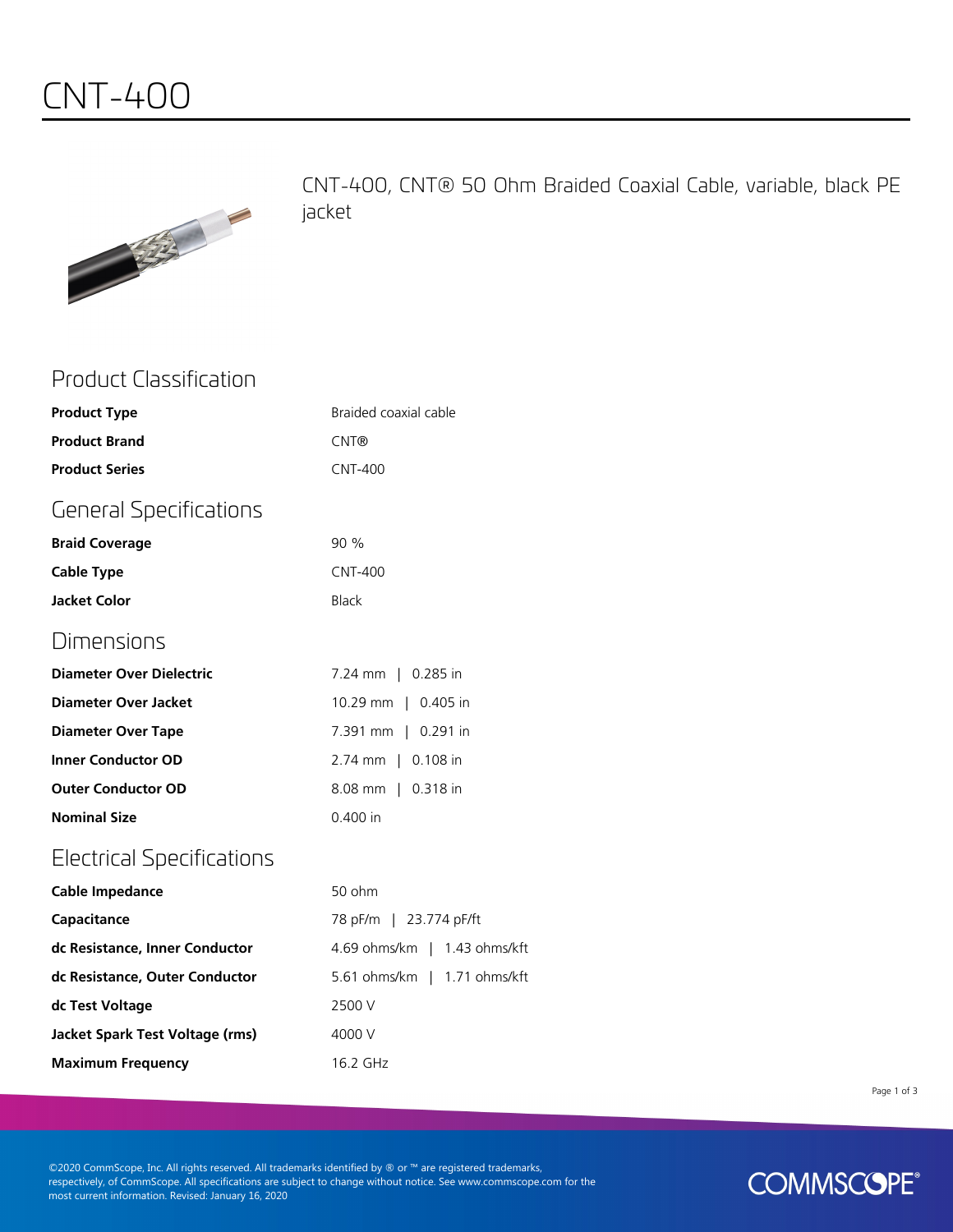## CNT-400

**CONTRACTOR** 

CNT-400, CNT® 50 Ohm Braided Coaxial Cable, variable, black PE jacket

#### Product Classification

| <b>Product Type</b>              | Braided coaxial cable        |
|----------------------------------|------------------------------|
| <b>Product Brand</b>             | CNT®                         |
| <b>Product Series</b>            | <b>CNT-400</b>               |
| <b>General Specifications</b>    |                              |
| <b>Braid Coverage</b>            | 90 %                         |
| <b>Cable Type</b>                | <b>CNT-400</b>               |
| <b>Jacket Color</b>              | <b>Black</b>                 |
| Dimensions                       |                              |
| <b>Diameter Over Dielectric</b>  | 7.24 mm   0.285 in           |
| <b>Diameter Over Jacket</b>      | 10.29 mm   0.405 in          |
| <b>Diameter Over Tape</b>        | 7.391 mm   0.291 in          |
| <b>Inner Conductor OD</b>        | 2.74 mm   0.108 in           |
| <b>Outer Conductor OD</b>        | 8.08 mm   0.318 in           |
| <b>Nominal Size</b>              | 0.400 in                     |
| <b>Electrical Specifications</b> |                              |
| <b>Cable Impedance</b>           | 50 ohm                       |
| Capacitance                      | 78 pF/m   23.774 pF/ft       |
| dc Resistance, Inner Conductor   | 4.69 ohms/km   1.43 ohms/kft |
| dc Resistance, Outer Conductor   | 5.61 ohms/km   1.71 ohms/kft |
| dc Test Voltage                  | 2500 V                       |
|                                  |                              |

**Jacket Spark Test Voltage (rms)** 4000 V **Maximum Frequency** 16.2 GHz

Page 1 of 3

©2020 CommScope, Inc. All rights reserved. All trademarks identified by ® or ™ are registered trademarks, respectively, of CommScope. All specifications are subject to change without notice. See www.commscope.com for the most current information. Revised: January 16, 2020

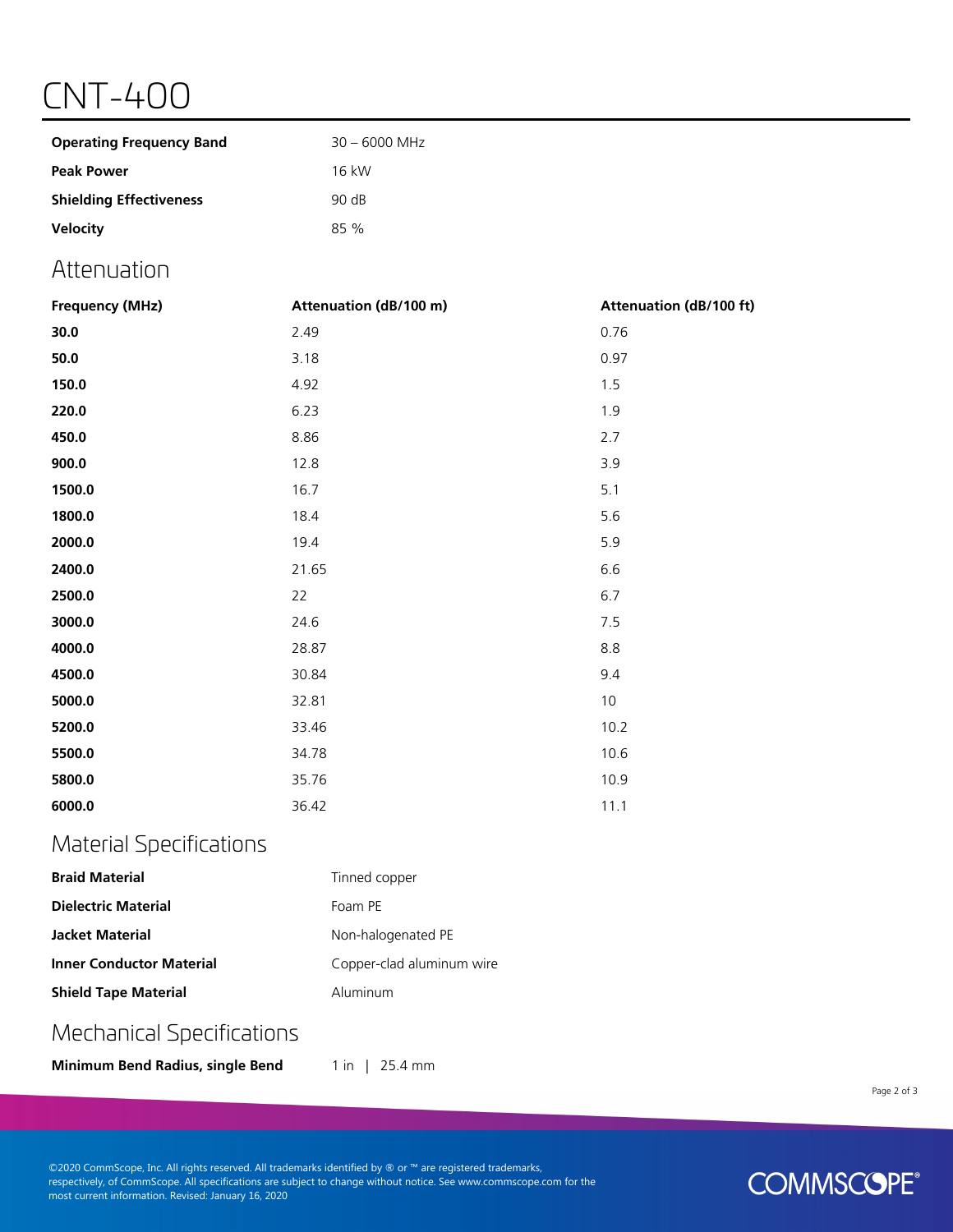# CNT-400

| <b>Operating Frequency Band</b> | $30 - 6000$ MHz |
|---------------------------------|-----------------|
| <b>Peak Power</b>               | 16 kW           |
| <b>Shielding Effectiveness</b>  | 90 dB           |
| Velocity                        | 85 %            |

#### Attenuation

| <b>Frequency (MHz)</b> | Attenuation (dB/100 m) | Attenuation (dB/100 ft) |
|------------------------|------------------------|-------------------------|
| 30.0                   | 2.49                   | 0.76                    |
| 50.0                   | 3.18                   | 0.97                    |
| 150.0                  | 4.92                   | 1.5                     |
| 220.0                  | 6.23                   | 1.9                     |
| 450.0                  | 8.86                   | 2.7                     |
| 900.0                  | 12.8                   | 3.9                     |
| 1500.0                 | 16.7                   | 5.1                     |
| 1800.0                 | 18.4                   | 5.6                     |
| 2000.0                 | 19.4                   | 5.9                     |
| 2400.0                 | 21.65                  | 6.6                     |
| 2500.0                 | 22                     | 6.7                     |
| 3000.0                 | 24.6                   | 7.5                     |
| 4000.0                 | 28.87                  | 8.8                     |
| 4500.0                 | 30.84                  | 9.4                     |
| 5000.0                 | 32.81                  | $10$                    |
| 5200.0                 | 33.46                  | 10.2                    |
| 5500.0                 | 34.78                  | 10.6                    |
| 5800.0                 | 35.76                  | 10.9                    |
| 6000.0                 | 36.42                  | 11.1                    |

## Material Specifications

| <b>Braid Material</b>           | Tinned copper             |
|---------------------------------|---------------------------|
| <b>Dielectric Material</b>      | Foam PE                   |
| Jacket Material                 | Non-halogenated PE        |
| <b>Inner Conductor Material</b> | Copper-clad aluminum wire |
| <b>Shield Tape Material</b>     | Aluminum                  |

## Mechanical Specifications

**Minimum Bend Radius, single Bend** 1 in | 25.4 mm

Page 2 of 3

©2020 CommScope, Inc. All rights reserved. All trademarks identified by ® or ™ are registered trademarks, respectively, of CommScope. All specifications are subject to change without notice. See www.commscope.com for the most current information. Revised: January 16, 2020